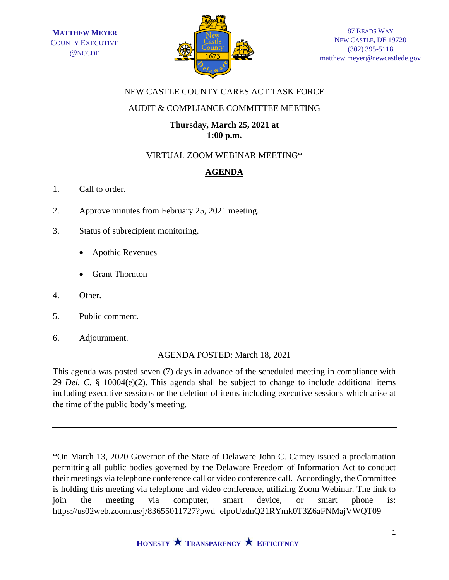

## NEW CASTLE COUNTY CARES ACT TASK FORCE

### AUDIT & COMPLIANCE COMMITTEE MEETING

## **Thursday, March 25, 2021 at 1:00 p.m.**

# VIRTUAL ZOOM WEBINAR MEETING\*

# **AGENDA**

- 1. Call to order.
- 2. Approve minutes from February 25, 2021 meeting.
- 3. Status of subrecipient monitoring.
	- Apothic Revenues
	- Grant Thornton
- 4. Other.
- 5. Public comment.
- 6. Adjournment.

#### AGENDA POSTED: March 18, 2021

This agenda was posted seven (7) days in advance of the scheduled meeting in compliance with 29 *Del. C.* § 10004(e)(2). This agenda shall be subject to change to include additional items including executive sessions or the deletion of items including executive sessions which arise at the time of the public body's meeting.

\*On March 13, 2020 Governor of the State of Delaware John C. Carney issued a proclamation permitting all public bodies governed by the Delaware Freedom of Information Act to conduct their meetings via telephone conference call or video conference call. Accordingly, the Committee is holding this meeting via telephone and video conference, utilizing Zoom Webinar. The link to join the meeting via computer, smart device, or smart phone is: https://us02web.zoom.us/j/83655011727?pwd=elpoUzdnQ21RYmk0T3Z6aFNMajVWQT09